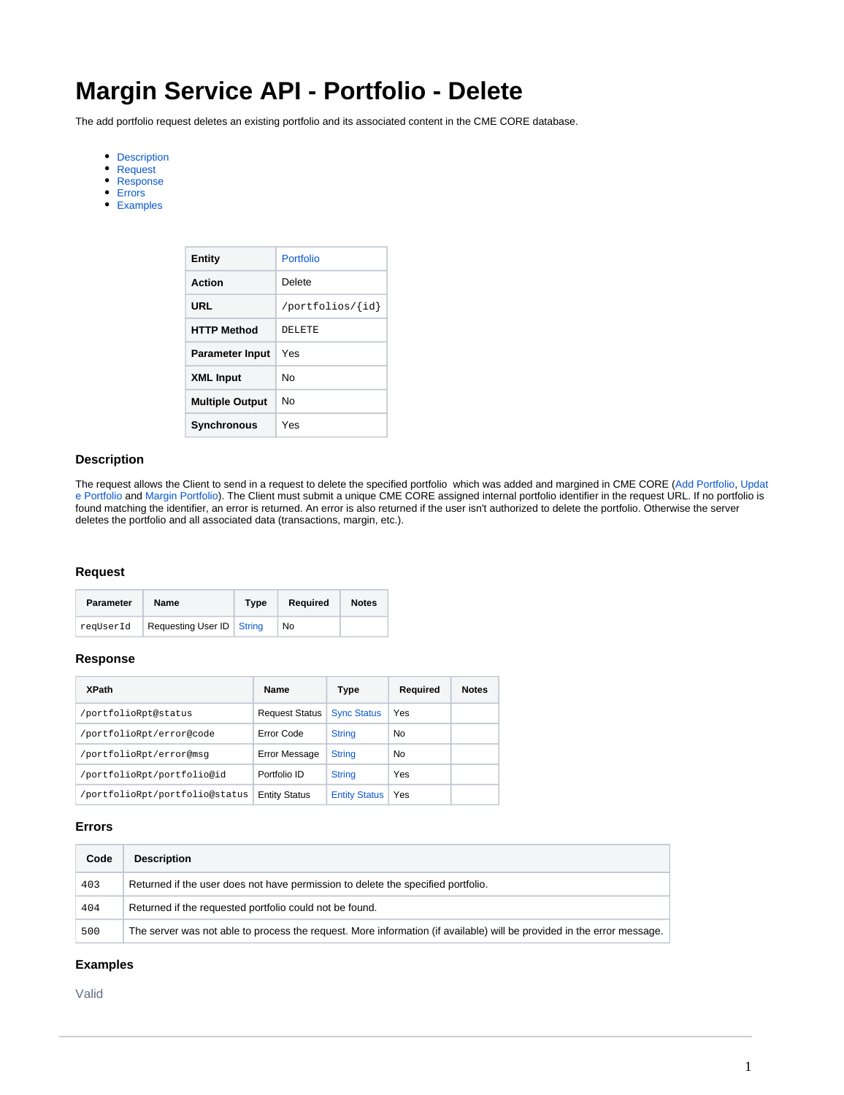# **Margin Service API - Portfolio - Delete**

The add portfolio request deletes an existing portfolio and its associated content in the CME CORE database.

- [Description](#page-0-0)
- [Request](#page-0-1)
- [Response](#page-0-2)
- [Errors](#page-0-3)
- [Examples](#page-0-4)

| <b>Entity</b>          | Portfolio        |
|------------------------|------------------|
| Action                 | Delete           |
| URL                    | /portfolios/{id} |
| <b>HTTP Method</b>     | DELETE           |
| <b>Parameter Input</b> | Yes              |
| <b>XML Input</b>       | N٥               |
| <b>Multiple Output</b> | N٥               |
| <b>Synchronous</b>     | Yes              |

## <span id="page-0-0"></span>**Description**

The request allows the Client to send in a request to delete the specified portfolio which was added and margined in CME CORE ([Add Portfolio,](https://www.cmegroup.com/confluence/display/EPICSANDBOX/Margin+Service+API+-+Portfolio+-+Add) [Updat](https://www.cmegroup.com/confluence/display/EPICSANDBOX/Margin+Service+API+-+Portfolio+-+Update) [e Portfolio](https://www.cmegroup.com/confluence/display/EPICSANDBOX/Margin+Service+API+-+Portfolio+-+Update) and [Margin Portfolio\)](https://www.cmegroup.com/confluence/display/EPICSANDBOX/Margin+Service+API+-+Margin+-+Calculate). The Client must submit a unique CME CORE assigned internal portfolio identifier in the request URL. If no portfolio is found matching the identifier, an error is returned. An error is also returned if the user isn't authorized to delete the portfolio. Otherwise the server deletes the portfolio and all associated data (transactions, margin, etc.).

#### <span id="page-0-1"></span>**Request**

| <b>Parameter</b> | Name                        | Type | Required | <b>Notes</b> |
|------------------|-----------------------------|------|----------|--------------|
| reqUserId        | Requesting User ID   String |      | No       |              |

#### <span id="page-0-2"></span>**Response**

| <b>XPath</b>                   | Name                  | Type                 | Required | <b>Notes</b> |
|--------------------------------|-----------------------|----------------------|----------|--------------|
| /portfolioRpt@status           | <b>Request Status</b> | <b>Sync Status</b>   | Yes      |              |
| /portfolioRpt/error@code       | Error Code            | <b>String</b>        | No       |              |
| /portfolioRpt/error@msq        | Error Message         | <b>String</b>        | No       |              |
| /portfolioRpt/portfolio@id     | Portfolio ID          | <b>String</b>        | Yes      |              |
| /portfolioRpt/portfolio@status | <b>Entity Status</b>  | <b>Entity Status</b> | Yes      |              |

## <span id="page-0-3"></span>**Errors**

| Code | <b>Description</b>                                                                                                     |
|------|------------------------------------------------------------------------------------------------------------------------|
| 403  | Returned if the user does not have permission to delete the specified portfolio.                                       |
| 404  | Returned if the requested portfolio could not be found.                                                                |
| 500  | The server was not able to process the request. More information (if available) will be provided in the error message. |

## <span id="page-0-4"></span>**Examples**

Valid